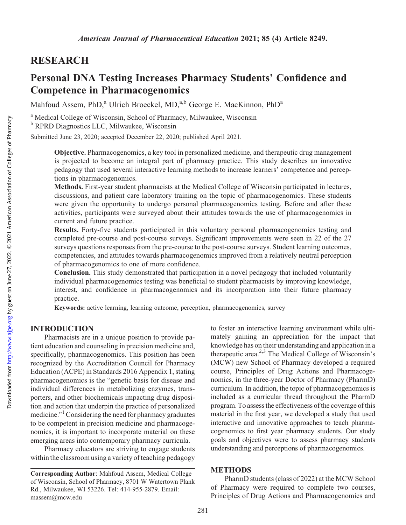# RESEARCH

# Personal DNA Testing Increases Pharmacy Students' Confidence and Competence in Pharmacogenomics

Mahfoud Assem, PhD,<sup>a</sup> Ulrich Broeckel, MD,<sup>a,b</sup> George E. MacKinnon, PhD<sup>a</sup>

<sup>a</sup> Medical College of Wisconsin, School of Pharmacy, Milwaukee, Wisconsin <sup>b</sup> RPRD Diagnostics LLC, Milwaukee, Wisconsin

Submitted June 23, 2020; accepted December 22, 2020; published April 2021.

Objective. Pharmacogenomics, a key tool in personalized medicine, and therapeutic drug management is projected to become an integral part of pharmacy practice. This study describes an innovative pedagogy that used several interactive learning methods to increase learners' competence and perceptions in pharmacogenomics.

Methods. First-year student pharmacists at the Medical College of Wisconsin participated in lectures, discussions, and patient care laboratory training on the topic of pharmacogenomics. These students were given the opportunity to undergo personal pharmacogenomics testing. Before and after these activities, participants were surveyed about their attitudes towards the use of pharmacogenomics in current and future practice.

Results. Forty-five students participated in this voluntary personal pharmacogenomics testing and completed pre-course and post-course surveys. Significant improvements were seen in 22 of the 27 surveys questions responses from the pre-course to the post-course surveys. Student learning outcomes, competencies, and attitudes towards pharmacogenomics improved from a relatively neutral perception of pharmacogenomics to one of more confidence.

Conclusion. This study demonstrated that participation in a novel pedagogy that included voluntarily individual pharmacogenomics testing was beneficial to student pharmacists by improving knowledge, interest, and confidence in pharmacogenomics and its incorporation into their future pharmacy practice.

Keywords: active learning, learning outcome, perception, pharmacogenomics, survey

#### INTRODUCTION

Pharmacists are in a unique position to provide patient education and counseling in precision medicine and, specifically, pharmacogenomics. This position has been recognized by the Accreditation Council for Pharmacy Education (ACPE) in Standards 2016 Appendix 1, stating pharmacogenomics is the "genetic basis for disease and individual differences in metabolizing enzymes, transporters, and other biochemicals impacting drug disposition and action that underpin the practice of personalized medicine."1Considering the need for pharmacy graduates to be competent in precision medicine and pharmacogenomics, it is important to incorporate material on these emerging areas into contemporary pharmacy curricula.

Pharmacy educators are striving to engage students within the classroom using a variety of teaching pedagogy

to foster an interactive learning environment while ultimately gaining an appreciation for the impact that knowledge has on their understanding and application in a therapeutic area.<sup>2,3</sup> The Medical College of Wisconsin's (MCW) new School of Pharmacy developed a required course, Principles of Drug Actions and Pharmacogenomics, in the three-year Doctor of Pharmacy (PharmD) curriculum. In addition, the topic of pharmacogenomics is included as a curricular thread throughout the PharmD program. To assess the effectiveness of the coverage of this material in the first year, we developed a study that used interactive and innovative approaches to teach pharmacogenomics to first year pharmacy students. Our study goals and objectives were to assess pharmacy students understanding and perceptions of pharmacogenomics.

#### **METHODS**

PharmD students (class of 2022) at the MCW School of Pharmacy were required to complete two courses, Principles of Drug Actions and Pharmacogenomics and

Corresponding Author: Mahfoud Assem, Medical College of Wisconsin, School of Pharmacy, 8701 W Watertown Plank Rd., Milwaukee, WI 53226. Tel: 414-955-2879. Email: [massem@mcw.edu](mailto:massem@mcw.edu)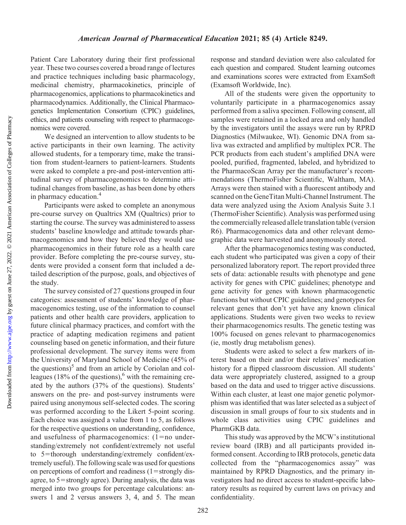Downloaded from

Patient Care Laboratory during their first professional year. These two courses covered a broad range of lectures and practice techniques including basic pharmacology, medicinal chemistry, pharmacokinetics, principle of pharmacogenomics, applications to pharmacokinetics and pharmacodynamics. Additionally, the Clinical Pharmacogenetics Implementation Consortium (CPIC) guidelines, ethics, and patients counseling with respect to pharmacogenomics were covered.

We designed an intervention to allow students to be active participants in their own learning. The activity allowed students, for a temporary time, make the transition from student-learners to patient-learners. Students were asked to complete a pre-and post-intervention attitudinal survey of pharmacogenomics to determine attitudinal changes from baseline, as has been done by others in pharmacy education.4

Participants were asked to complete an anonymous pre-course survey on Qualtrics XM (Qualtrics) prior to starting the course. The survey was administered to assess students' baseline knowledge and attitude towards pharmacogenomics and how they believed they would use pharmacogenomics in their future role as a health care provider. Before completing the pre-course survey, students were provided a consent form that included a detailed description of the purpose, goals, and objectives of the study.

The survey consisted of 27 questions grouped in four categories: assessment of students' knowledge of pharmacogenomics testing, use of the information to counsel patients and other health care providers, application to future clinical pharmacy practices, and comfort with the practice of adapting medication regimens and patient counseling based on genetic information, and their future professional development. The survey items were from the University of Maryland School of Medicine (45% of the questions) $5$  and from an article by Coriolan and colleagues (18% of the questions), $6$  with the remaining created by the authors (37% of the questions). Students' answers on the pre- and post-survey instruments were paired using anonymous self-selected codes. The scoring was performed according to the Likert 5-point scoring. Each choice was assigned a value from 1 to 5, as follows for the respective questions on understanding, confidence, and usefulness of pharmacogenomics:  $(1=no$  understanding/extremely not confident/extremely not useful to  $5$ =thorough understanding/extremely confident/extremely useful). The following scale was used for questions on perceptions of comfort and readiness  $(1=$ strongly disagree, to  $5 =$ strongly agree). During analysis, the data was merged into two groups for percentage calculations: answers 1 and 2 versus answers 3, 4, and 5. The mean

response and standard deviation were also calculated for each question and compared. Student learning outcomes and examinations scores were extracted from ExamSoft (Examsoft Worldwide, Inc).

All of the students were given the opportunity to voluntarily participate in a pharmacogenomics assay performed from a saliva specimen. Following consent, all samples were retained in a locked area and only handled by the investigators until the assays were run by RPRD Diagnostics (Milwaukee, WI). Genomic DNA from saliva was extracted and amplified by multiplex PCR. The PCR products from each student's amplified DNA were pooled, purified, fragmented, labeled, and hybridized to the PharmacoScan Array per the manufacturer's recommendations (ThermoFisher Scientific, Waltham, MA). Arrays were then stained with a fluorescent antibody and scanned on the GeneTitan Multi-Channel Instrument. The data were analyzed using the Axiom Analysis Suite 3.1 (ThermoFisher Scientific). Analysis was performed using the commercially released allele translation table (version R6). Pharmacogenomics data and other relevant demographic data were harvested and anonymously stored.

After the pharmacogenomics testing was conducted, each student who participated was given a copy of their personalized laboratory report. The report provided three sets of data: actionable results with phenotype and gene activity for genes with CPIC guidelines; phenotype and gene activity for genes with known pharmacogenetic functions but without CPIC guidelines; and genotypes for relevant genes that don't yet have any known clinical applications. Students were given two weeks to review their pharmacogenomics results. The genetic testing was 100% focused on genes relevant to pharmacogenomics (ie, mostly drug metabolism genes).

Students were asked to select a few markers of interest based on their and/or their relatives' medication history for a flipped classroom discussion. All students' data were appropriately clustered, assigned to a group based on the data and used to trigger active discussions. Within each cluster, at least one major genetic polymorphism was identified that was later selected as a subject of discussion in small groups of four to six students and in whole class activities using CPIC guidelines and PharmGKB data.

This study was approved by the MCW's institutional review board (IRB) and all participants provided informed consent. According to IRB protocols, genetic data collected from the "pharmacogenomics assay" was maintained by RPRD Diagnostics, and the primary investigators had no direct access to student-specific laboratory results as required by current laws on privacy and confidentiality.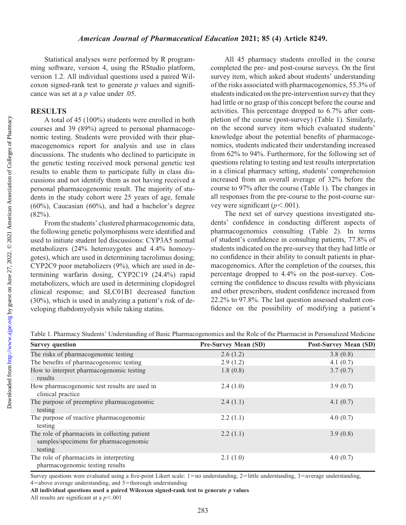#### American Journal of Pharmaceutical Education 2021; 85 (4) Article 8249.

Statistical analyses were performed by R programming software, version 4, using the RStudio platform, version 1.2. All individual questions used a paired Wilcoxon signed-rank test to generate  $p$  values and significance was set at a *p* value under .05.

#### RESULTS

A total of 45 (100%) students were enrolled in both courses and 39 (89%) agreed to personal pharmacogenomic testing. Students were provided with their pharmacogenomics report for analysis and use in class discussions. The students who declined to participate in the genetic testing received mock personal genetic test results to enable them to participate fully in class discussions and not identify them as not having received a personal pharmacogenomic result. The majority of students in the study cohort were 25 years of age, female (60%), Caucasian (60%), and had a bachelor's degree  $(82\%)$ .

From the students' clustered pharmacogenomic data, the following genetic polymorphisms were identified and used to initiate student led discussions: CYP3A5 normal metabolizers (24% heterozygotes and 4.4% homozygotes), which are used in determining tacrolimus dosing; CYP2C9 poor metabolizers (9%), which are used in determining warfarin dosing, CYP2C19 (24.4%) rapid metabolizers, which are used in determining clopidogrel clinical response; and SLC01B1 decreased function (30%), which is used in analyzing a patient's risk of developing rhabdomyolysis while taking statins.

All 45 pharmacy students enrolled in the course completed the pre- and post-course surveys. On the first survey item, which asked about students' understanding of the risks associated with pharmacogenomics, 55.3% of students indicated on the pre-intervention survey that they had little or no grasp of this concept before the course and activities. This percentage dropped to 6.7% after completion of the course (post-survey) (Table 1). Similarly, on the second survey item which evaluated students' knowledge about the potential benefits of pharmacogenomics, students indicated their understanding increased from 62% to 94%. Furthermore, for the following set of questions relating to testing and test results interpretation in a clinical pharmacy setting, students' comprehension increased from an overall average of 32% before the course to 97% after the course (Table 1). The changes in all responses from the pre-course to the post-course survey were significant  $(p<.001)$ .

The next set of survey questions investigated students' confidence in conducting different aspects of pharmacogenomics consulting (Table 2). In terms of student's confidence in consulting patients, 77.8% of students indicated on the pre-survey that they had little or no confidence in their ability to consult patients in pharmacogenomics. After the completion of the courses, this percentage dropped to 4.4% on the post-survey. Concerning the confidence to discuss results with physicians and other prescribers, student confidence increased from 22.2% to 97.8%. The last question assessed student confidence on the possibility of modifying a patient's

| <b>Survey question</b>                                                                            | <b>Pre-Survey Mean (SD)</b> | <b>Post-Survey Mean (SD)</b> |
|---------------------------------------------------------------------------------------------------|-----------------------------|------------------------------|
| The risks of pharmacogenomic testing                                                              | 2.6(1.2)                    | 3.8(0.8)                     |
| The benefits of pharmacogenomic testing                                                           | 2.9(1.2)                    | 4.1 $(0.7)$                  |
| How to interpret pharmacogenomic testing<br>results                                               | 1.8(0.8)                    | 3.7(0.7)                     |
| How pharmacogenomic test results are used in<br>clinical practice                                 | 2.4(1.0)                    | 3.9(0.7)                     |
| The purpose of preemptive pharmacogenomic<br>testing                                              | 2.4(1.1)                    | 4.1 $(0.7)$                  |
| The purpose of reactive pharmacogenomic<br>testing                                                | 2.2(1.1)                    | 4.0(0.7)                     |
| The role of pharmacists in collecting patient<br>samples/specimens for pharmacogenomic<br>testing | 2.2(1.1)                    | 3.9(0.8)                     |
| The role of pharmacists in interpreting<br>pharmacogenomic testing results                        | 2.1(1.0)                    | 4.0(0.7)                     |

Table 1. Pharmacy Students' Understanding of Basic Pharmacogenomics and the Role of the Pharmacist in Personalized Medicine

Survey questions were evaluated using a five-point Likert scale:  $1=$ no understanding,  $2=$ little understanding,  $3=$ average understanding,  $4$ =above average understanding, and  $5$ =thorough understanding

All individual questions used a paired Wilcoxon signed-rank test to generate  $p$  values

All results are significant at a  $p<.001$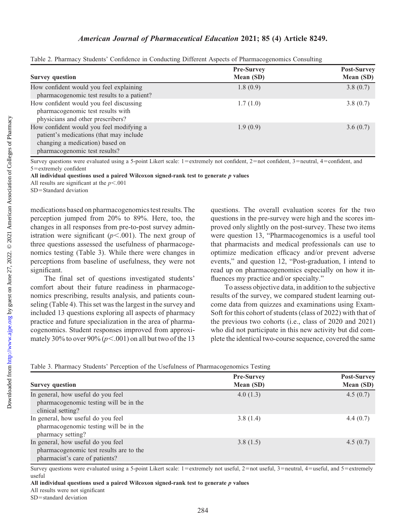|  | Table 2. Pharmacy Students' Confidence in Conducting Different Aspects of Pharmacogenomics Consulting |  |
|--|-------------------------------------------------------------------------------------------------------|--|
|  |                                                                                                       |  |

| <b>Survey question</b>                                                                                                                                  | <b>Pre-Survey</b><br>Mean (SD) | Post-Survey<br>Mean (SD) |
|---------------------------------------------------------------------------------------------------------------------------------------------------------|--------------------------------|--------------------------|
| How confident would you feel explaining<br>pharmacogenomic test results to a patient?                                                                   | 1.8(0.9)                       | 3.8(0.7)                 |
| How confident would you feel discussing<br>pharmacogenomic test results with<br>physicians and other prescribers?                                       | 1.7(1.0)                       | 3.8(0.7)                 |
| How confident would you feel modifying a<br>patient's medications (that may include<br>changing a medication) based on<br>pharmacogenomic test results? | 1.9(0.9)                       | 3.6(0.7)                 |

Survey questions were evaluated using a 5-point Likert scale: 1=extremely not confident, 2=not confident, 3=neutral, 4=confident, and 5=extremely confident

All individual questions used a paired Wilcoxon signed-rank test to generate  $p$  values

All results are significant at the  $p<.001$ 

SD=Standard deviation

medications based on pharmacogenomics test results. The perception jumped from 20% to 89%. Here, too, the changes in all responses from pre-to-post survey administration were significant  $(p<.001)$ . The next group of three questions assessed the usefulness of pharmacogenomics testing (Table 3). While there were changes in perceptions from baseline of usefulness, they were not significant.

The final set of questions investigated students' comfort about their future readiness in pharmacogenomics prescribing, results analysis, and patients counseling (Table 4). This set was the largest in the survey and included 13 questions exploring all aspects of pharmacy practice and future specialization in the area of pharmacogenomics. Student responses improved from approximately 30% to over 90% ( $p<.001$ ) on all but two of the 13

questions. The overall evaluation scores for the two questions in the pre-survey were high and the scores improved only slightly on the post-survey. These two items were question 13, "Pharmacogenomics is a useful tool that pharmacists and medical professionals can use to optimize medication efficacy and/or prevent adverse events," and question 12, "Post-graduation, I intend to read up on pharmacogenomics especially on how it influences my practice and/or specialty."

To assess objective data, in addition to the subjective results of the survey, we compared student learning outcome data from quizzes and examinations using Exam-Soft for this cohort of students (class of 2022) with that of the previous two cohorts (i.e., class of 2020 and 2021) who did not participate in this new activity but did complete the identical two-course sequence, covered the same

| Table 3. Pharmacy Students' Perception of the Usefulness of Pharmacogenomics Testing |  |  |  |  |
|--------------------------------------------------------------------------------------|--|--|--|--|
|                                                                                      |  |  |  |  |

|                                                                                                                 | <b>Pre-Survey</b> | <b>Post-Survey</b> |
|-----------------------------------------------------------------------------------------------------------------|-------------------|--------------------|
| <b>Survey question</b>                                                                                          | Mean (SD)         | Mean (SD)          |
| In general, how useful do you feel<br>pharmacogenomic testing will be in the<br>clinical setting?               | 4.0(1.3)          | 4.5(0.7)           |
| In general, how useful do you feel<br>pharmacogenomic testing will be in the<br>pharmacy setting?               | 3.8(1.4)          | 4.4(0.7)           |
| In general, how useful do you feel<br>pharmacogenomic test results are to the<br>pharmacist's care of patients? | 3.8(1.5)          | 4.5(0.7)           |

Survey questions were evaluated using a 5-point Likert scale: 1=extremely not useful, 2=not useful, 3=neutral, 4=useful, and 5=extremely useful

All individual questions used a paired Wilcoxon signed-rank test to generate  $p$  values

All results were not significant

 $SD =$ standard deviation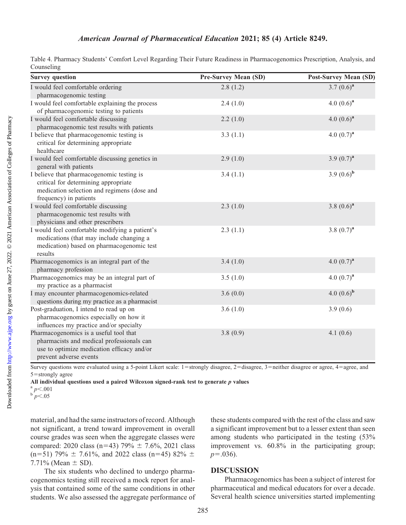| Table 4. Pharmacy Students' Comfort Level Regarding Their Future Readiness in Pharmacogenomics Prescription, Analysis, and |  |  |  |
|----------------------------------------------------------------------------------------------------------------------------|--|--|--|
| Counseling                                                                                                                 |  |  |  |

| <b>Survey question</b>                                                                                                                                      | <b>Pre-Survey Mean (SD)</b> | <b>Post-Survey Mean (SD)</b> |
|-------------------------------------------------------------------------------------------------------------------------------------------------------------|-----------------------------|------------------------------|
| I would feel comfortable ordering<br>pharmacogenomic testing                                                                                                | 2.8(1.2)                    | 3.7 $(0.6)^a$                |
| I would feel comfortable explaining the process<br>of pharmacogenomic testing to patients                                                                   | 2.4(1.0)                    | 4.0 $(0.6)^a$                |
| I would feel comfortable discussing<br>pharmacogenomic test results with patients                                                                           | 2.2(1.0)                    | 4.0 $(0.6)^a$                |
| I believe that pharmacogenomic testing is<br>critical for determining appropriate<br>healthcare                                                             | 3.3(1.1)                    | 4.0 $(0.7)^{a}$              |
| I would feel comfortable discussing genetics in<br>general with patients                                                                                    | 2.9(1.0)                    | 3.9 $(0.7)^{a}$              |
| I believe that pharmacogenomic testing is<br>critical for determining appropriate<br>medication selection and regimens (dose and<br>frequency) in patients  | 3.4(1.1)                    | 3.9 $(0.6)^{b}$              |
| I would feel comfortable discussing<br>pharmacogenomic test results with<br>physicians and other prescribers                                                | 2.3(1.0)                    | 3.8 $(0.6)^a$                |
| I would feel comfortable modifying a patient's<br>medications (that may include changing a<br>medication) based on pharmacogenomic test<br>results          | 2.3(1.1)                    | 3.8 $(0.7)^{a}$              |
| Pharmacogenomics is an integral part of the<br>pharmacy profession                                                                                          | 3.4(1.0)                    | 4.0 $(0.7)^{a}$              |
| Pharmacogenomics may be an integral part of<br>my practice as a pharmacist                                                                                  | 3.5(1.0)                    | 4.0 $(0.7)^{a}$              |
| I may encounter pharmacogenomics-related<br>questions during my practice as a pharmacist                                                                    | 3.6(0.0)                    | 4.0 $(0.6)^{b}$              |
| Post-graduation, I intend to read up on<br>pharmacogenomics especially on how it<br>influences my practice and/or specialty                                 | 3.6(1.0)                    | 3.9(0.6)                     |
| Pharmacogenomics is a useful tool that<br>pharmacists and medical professionals can<br>use to optimize medication efficacy and/or<br>prevent adverse events | 3.8(0.9)                    | 4.1(0.6)                     |

Survey questions were evaluated using a 5-point Likert scale: 1=strongly disagree, 2=disagree, 3=neither disagree or agree, 4=agree, and  $5 =$ strongly agree

All individual questions used a paired Wilcoxon signed-rank test to generate p values  $\binom{a}{b} p < .001$  b  $p < .05$ 

material, and had the same instructors of record. Although not significant, a trend toward improvement in overall course grades was seen when the aggregate classes were compared: 2020 class (n=43) 79%  $\pm$  7.6%, 2021 class  $(n=51)$  79%  $\pm$  7.61%, and 2022 class (n=45) 82%  $\pm$ 7.71% (Mean  $\pm$  SD).

The six students who declined to undergo pharmacogenomics testing still received a mock report for analysis that contained some of the same conditions in other students. We also assessed the aggregate performance of

these students compared with the rest of the class and saw a significant improvement but to a lesser extent than seen among students who participated in the testing (53% improvement vs. 60.8% in the participating group;  $p=.036$ ).

#### DISCUSSION

Pharmacogenomics has been a subject of interest for pharmaceutical and medical educators for over a decade. Several health science universities started implementing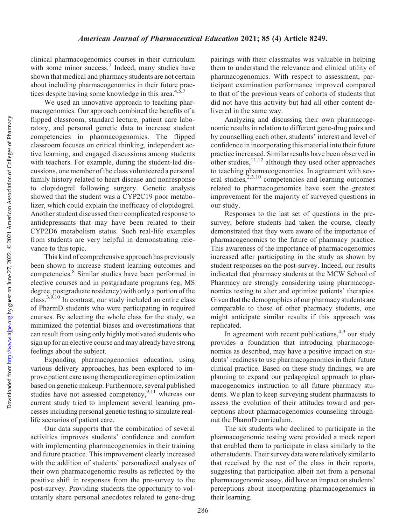clinical pharmacogenomics courses in their curriculum with some minor success.<sup>7</sup> Indeed, many studies have shown that medical and pharmacy students are not certain about including pharmacogenomics in their future practices despite having some knowledge in this area. $4,5,7$ 

We used an innovative approach to teaching pharmacogenomics. Our approach combined the benefits of a flipped classroom, standard lecture, patient care laboratory, and personal genetic data to increase student competencies in pharmacogenomics. The flipped classroom focuses on critical thinking, independent active learning, and engaged discussions among students with teachers. For example, during the student-led discussions, one member of the class volunteered a personal family history related to heart disease and nonresponse to clopidogrel following surgery. Genetic analysis showed that the student was a CYP2C19 poor metabolizer, which could explain the inefficacy of clopidogrel. Another student discussed their complicated response to antidepressants that may have been related to their CYP2D6 metabolism status. Such real-life examples from students are very helpful in demonstrating relevance to this topic.

This kind of comprehensive approach has previously been shown to increase student learning outcomes and competencies.8 Similar studies have been performed in elective courses and in postgraduate programs (eg, MS degree, postgraduate residency) with only a portion of the class. $3,9,10$  In contrast, our study included an entire class of PharmD students who were participating in required courses. By selecting the whole class for the study, we minimized the potential biases and overestimations that can result from using only highly motivated students who sign up for an elective course and may already have strong feelings about the subject.

Expanding pharmacogenomics education, using various delivery approaches, has been explored to improve patient care using therapeutic regimen optimization based on genetic makeup. Furthermore, several published studies have not assessed competency,  $9,11$  whereas our current study tried to implement several learning processes including personal genetic testing to simulate reallife scenarios of patient care.

Our data supports that the combination of several activities improves students' confidence and comfort with implementing pharmacogenomics in their training and future practice. This improvement clearly increased with the addition of students' personalized analyses of their own pharmacogenomic results as reflected by the positive shift in responses from the pre-survey to the post-survey. Providing students the opportunity to voluntarily share personal anecdotes related to gene-drug pairings with their classmates was valuable in helping them to understand the relevance and clinical utility of pharmacogenomics. With respect to assessment, participant examination performance improved compared to that of the previous years of cohorts of students that did not have this activity but had all other content delivered in the same way.

Analyzing and discussing their own pharmacogenomic results in relation to different gene-drug pairs and by counselling each other, students' interest and level of confidence in incorporating this material into their future practice increased. Similar results have been observed in other studies,  $\frac{11,12}{2}$  although they used other approaches to teaching pharmacogenomics. In agreement with several studies, $^{2,3,10}$  competencies and learning outcomes related to pharmacogenomics have seen the greatest improvement for the majority of surveyed questions in our study.

Responses to the last set of questions in the presurvey, before students had taken the course, clearly demonstrated that they were aware of the importance of pharmacogenomics to the future of pharmacy practice. This awareness of the importance of pharmacogenomics increased after participating in the study as shown by student responses on the post-survey. Indeed, our results indicated that pharmacy students at the MCW School of Pharmacy are strongly considering using pharmacogenomics testing to alter and optimize patients' therapies. Given that the demographics of our pharmacy students are comparable to those of other pharmacy students, one might anticipate similar results if this approach was replicated.

In agreement with recent publications, $4,9$  our study provides a foundation that introducing pharmacogenomics as described, may have a positive impact on students' readiness to use pharmacogenomics in their future clinical practice. Based on these study findings, we are planning to expand our pedagogical approach to pharmacogenomics instruction to all future pharmacy students. We plan to keep surveying student pharmacists to assess the evolution of their attitudes toward and perceptions about pharmacogenomics counseling throughout the PharmD curriculum.

The six students who declined to participate in the pharmacogenomic testing were provided a mock report that enabled them to participate in class similarly to the other students. Their survey data were relatively similar to that received by the rest of the class in their reports, suggesting that participation albeit not from a personal pharmacogenomic assay, did have an impact on students' perceptions about incorporating pharmacogenomics in their learning.